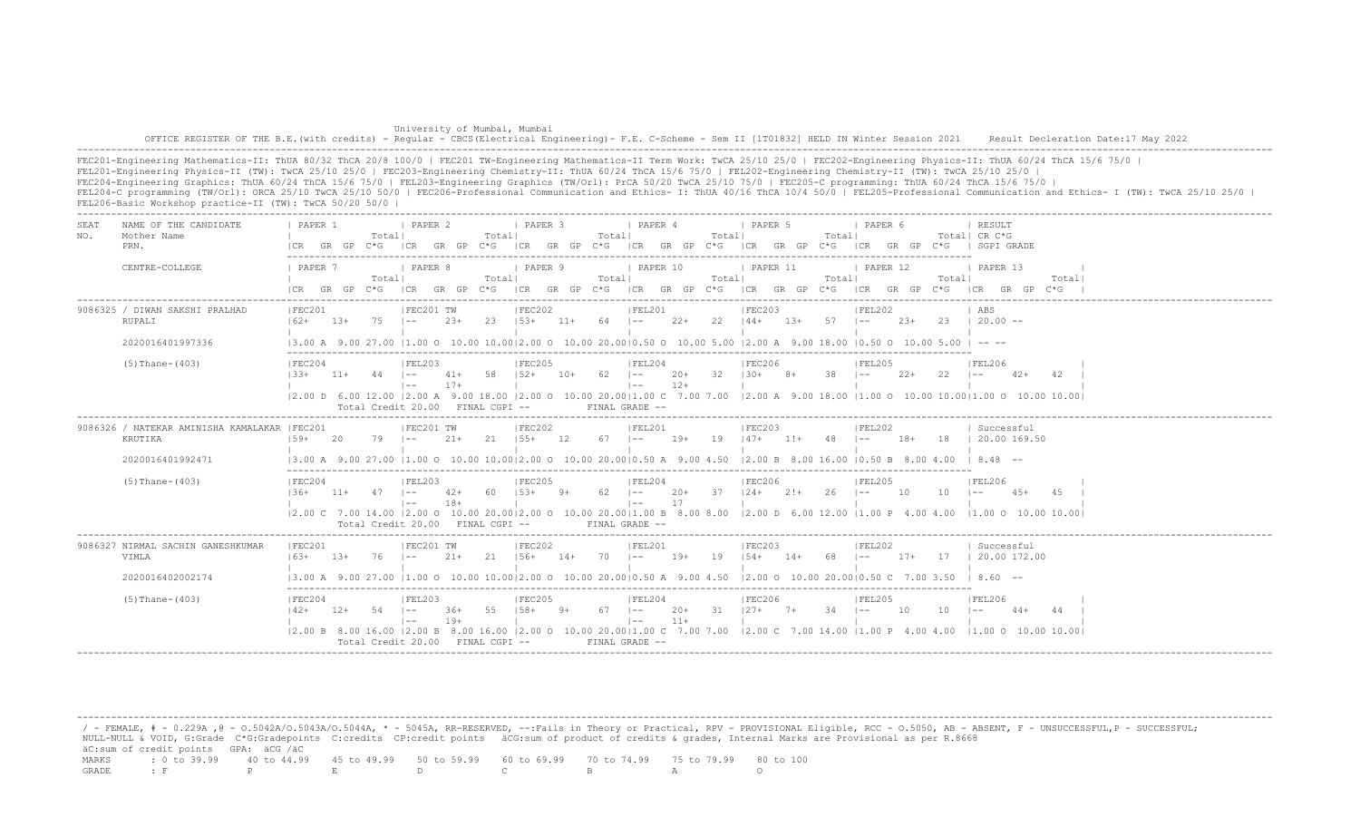| University of Mumbai, Mumbai                                                                                                                                                            |  |
|-----------------------------------------------------------------------------------------------------------------------------------------------------------------------------------------|--|
| OFFICE REGISTER OF THE B.E. (with credits) - Reqular - CBCS (Electrical Engineering) - F.E. C-Scheme - Sem II [1T01832] HELD IN Winter Session 2021 Result Decleration Date:17 May 2022 |  |
|                                                                                                                                                                                         |  |

FEC201-Engineering Mathematics-II: ThUA 80/32 ThCA 20/8 100/0 | FEC201 TW-Engineering Mathematics-II Term Work: TwCA 25/10 25/0 | FEC202-Engineering Physics-II: ThUA 60/24 ThCA 15/6 75/0 | FEL201-Engineering Physics-II (TW): TwCA 25/10 25/0 | FEC203-Engineering Chemistry-II: ThUA 60/24 ThCA 15/6 75/0 | FEL202-Engineering Chemistry-II (TW): TwCA 25/10 25/0 | FEC204-Engineering Graphics: ThUA 60/24 ThCA 15/6 75/0 | FEL203-Engineering Graphics (TW/Orl): PrCA 50/20 TwCA 25/10 75/0 | FEC205-C programming: ThUA 60/24 ThCA 15/6 75/0 | FEL204-C programming (TW/Orl): ORCA 25/10 TwCA 25/10 50/0 | FEC206-Professional Communication and Ethics- I: ThUA 40/16 ThCA 10/4 50/0 | FEL205-Professional Communication and Ethics- I (TW): TwCA 25/10 25/0 | FEL206-Basic Workshop practice-II (TW): TwCA 50/20 50/0 |

| SEA.<br>NO. | NAME OF THE CANDIDATE<br>Mother Name<br>PRN.            | PAPER 1<br>I CR                    | GR GP  | Totall   | <b>I PAPER 2</b><br>C*G ICR GR GP C*G |                   | Totall | <b>I PAPER 3</b>               |       | Totall      | <i>I</i> PAPER 4                                                           |                 | Totall          | I PAPER 5<br>ICR GR GP C*G ICR GR GP C*G ICR GR GP C*G                                                                                                                                                                                                                                                                                                        |       | Totall         | PAPER 6<br>ICR GR GP C*G     |        |       | RESULT<br>Total  CR C*G<br>  SGPI GRADE                                                                                                                   |        |       |  |
|-------------|---------------------------------------------------------|------------------------------------|--------|----------|---------------------------------------|-------------------|--------|--------------------------------|-------|-------------|----------------------------------------------------------------------------|-----------------|-----------------|---------------------------------------------------------------------------------------------------------------------------------------------------------------------------------------------------------------------------------------------------------------------------------------------------------------------------------------------------------------|-------|----------------|------------------------------|--------|-------|-----------------------------------------------------------------------------------------------------------------------------------------------------------|--------|-------|--|
|             | CENTRE-COLLEGE                                          | 1 PAPER 7<br>$ICR$ $GR$ $GP$ $C*G$ |        | Totall   | I PAPER 8<br> CR                      |                   | Totall | PAPER 9                        |       | Totall      | I PAPER 10                                                                 |                 | Totall          | <b>I PAPER 11</b><br>GR GP C*G ICR GR GP C*G ICR GR GP C*G ICR GR GP C*G                                                                                                                                                                                                                                                                                      |       | Total          | 1 PAPER 12<br>ICR GR GP C*G  |        | Total | 1 PAPER 13<br>ICR GR GP C*G                                                                                                                               |        | Total |  |
|             | 9086325 / DIWAN SAKSHI PRALHAD<br>RUPALI                | IFEC201<br>$162+$                  | 13+    | 75       | IFEC201 TW<br>$\vert - -$             | $2.3+$            | 23     | IFEC202<br>$153+$              | $11+$ | 64 –        | IFEL201                                                                    |                 | $22+$ 22 $144+$ | IFEC203                                                                                                                                                                                                                                                                                                                                                       |       | $13+ 57$ $1--$ | FEL202                       | $2.3+$ |       | ABS<br>$23 \t120.00 -$                                                                                                                                    |        |       |  |
|             | 2020016401997336                                        |                                    |        |          |                                       |                   |        |                                |       |             |                                                                            |                 |                 | $(3.00 \text{ A } 9.00 \text{ Z}7.00 \text{ }  1.00 \text{ O } 10.00 \text{ } 10.00 \text{ }  2.00 \text{ O } 10.00 \text{ } 20.00 \text{ }  0.50 \text{ O } 10.00 \text{ } 5.00 \text{ }  2.00 \text{ A } 9.00 \text{ } 18.00 \text{ }  0.50 \text{ O } 10.00 \text{ } 5.00 \text{ }  -1 - 10.00 \text{ }  0.00 \text{ }  -2 - 10.00 \text{ }  -1 - 10.00 \$ |       |                |                              |        |       |                                                                                                                                                           |        |       |  |
|             | $(5)$ Thane- $(403)$                                    | IFEC204<br>$133+11+44$ $1--$       |        |          | FEL203<br>$1 - -$                     | $41+ 58$<br>$17+$ |        | IFEC205<br>$152+ 10+ 62$ $1--$ |       |             | FEL204<br>$\vert - - \vert$                                                | 20+ 32<br>$12+$ |                 | IFEC206<br>$130+$                                                                                                                                                                                                                                                                                                                                             | 8+    | $38$ $1--$     | IFEL205                      | 22+    | 22    | <b>IFEL206</b><br>$\vert - -$                                                                                                                             | 42+    | -42   |  |
|             |                                                         |                                    |        |          | Total Credit 20.00 FINAL CGPI --      |                   |        |                                |       |             | $FTNAI, GRADE =$                                                           |                 |                 |                                                                                                                                                                                                                                                                                                                                                               |       |                |                              |        |       | 12.00 D 6.00 12.00 12.00 A 9.00 18.00 12.00 O 10.00 20.0011.00 C 7.00 7.00 12.00 A 9.00 18.00 11.00 O 10.00 10.0011.00 O 10.00 10.001                     |        |       |  |
|             | 9086326 / NATEKAR AMINISHA KAMALAKAR  FEC201<br>KRUTIKA | $159+$                             | -20    | 79       | IFEC201 TW                            | $21 +$            | -21    | IFEC202<br>$155+$              | 12.   | 67 -        | IFEL201<br>$1 - -$                                                         | $19+$           | 19              | IFEC203<br>$147+$                                                                                                                                                                                                                                                                                                                                             | $1!+$ | 48             | IFEL202<br>$1 - -$           | $18+$  | -18   | Successful<br>20.00 169.50                                                                                                                                |        |       |  |
|             | 2020016401992471                                        |                                    |        |          |                                       |                   |        |                                |       |             | 13.00 A 9.00 27.00 11.00 O 10.00 10.0012.00 O 10.00 20.0010.50 A 9.00 4.50 |                 |                 | $12.00 B$ 8.00 16.00 10.50 B 8.00 4.00                                                                                                                                                                                                                                                                                                                        |       |                |                              |        |       | $18.48 - -$                                                                                                                                               |        |       |  |
|             | $(5)$ Thane- $(403)$                                    | IFEC204<br>136+                    | $11 +$ | $47 - -$ | IFEL203<br>$1 - -$                    | $42+$<br>$18+$    | -60    | IFEC205<br>$153+$              | $9+$  | $62 - 1 =$  | IFEL204<br>$1 - -$                                                         | $20+$<br>17     | 37              | IFEC206<br>$124+21+$                                                                                                                                                                                                                                                                                                                                          |       | 26             | IFEL205<br>$1 - -$           | - 10   | 10    | IFEL206<br>$1 - -$<br> 2.00 C 7.00 14.00  2.00 O 10.00 20.00 2.00 O 10.00 20.00 1.00 B 8.00 8.00  2.00 D 6.00 12.00  1.00 P 4.00 4.00  1.00 O 10.00 10.00 | $4.5+$ | 4.5   |  |
|             |                                                         |                                    |        |          | Total Credit 20.00 FINAL CGPI --      |                   |        |                                |       |             | FINAL GRADE --                                                             |                 |                 |                                                                                                                                                                                                                                                                                                                                                               |       |                |                              |        |       |                                                                                                                                                           |        |       |  |
|             | 9086327 NIRMAL SACHIN GANESHKUMAR<br>VIMLA              | IFEC201<br>$16.3+$                 | $1.3+$ | 76       | IFEC201 TW<br>$1 - -$                 | $21+$             | 21     | IFEC202<br>$156+$              | $14+$ | 70          | IFEL201<br>$\vert - - \vert$                                               | 19+             | 19              | IFEC203<br>$154+$ 14+                                                                                                                                                                                                                                                                                                                                         |       | 68             | IFEL202<br>$\vert - - \vert$ | $17+$  | 17    | Successful<br>20.00 172.00                                                                                                                                |        |       |  |
|             | 2020016402002174                                        |                                    |        |          |                                       |                   |        |                                |       |             |                                                                            |                 |                 | 13.00 A 9.00 27.00 11.00 O 10.00 10.0012.00 O 10.00 20.0010.50 A 9.00 4.50 12.00 O 10.00 20.0010.50 C 7.00 3.50                                                                                                                                                                                                                                               |       |                |                              |        |       | $18.60 - -$                                                                                                                                               |        |       |  |
|             | $(5)$ Thane- $(403)$                                    | IFEC204<br>$142+$                  | 12+    | 54 –     | IFEL203<br>$\vert - -$                | 36+<br>$19+$      | 55     | FEC205<br>$158+$               | $9+$  | $67 \t - -$ | FEL204<br>$\vert - - \vert$                                                | $20+$<br>$11+$  | 31              | FEC206<br>$127+7+$                                                                                                                                                                                                                                                                                                                                            |       | 34             | IFEL205<br>$1 - -$           | 10     | 10    | IFEL206                                                                                                                                                   | $44+$  |       |  |
|             |                                                         |                                    |        |          | Total Credit $20.00$ FINAL CGPI $-$   |                   |        |                                |       |             | FINAL GRADE --                                                             |                 |                 | 12.00 B 8.00 16.00 12.00 B 8.00 16.00 12.00 O 10.00 20.0011.00 C 7.00 7.00 12.00 C 7.00 14.00 11.00 P 4.00 4.00                                                                                                                                                                                                                                               |       |                |                              |        |       | 11.00 0 10.00 10.00                                                                                                                                       |        |       |  |

 / - FEMALE, # - 0.229A ,@ - O.5042A/O.5043A/O.5044A, \* - 5045A, RR-RESERVED, --:Fails in Theory or Practical, RPV - PROVISIONAL Eligible, RCC - O.5050, AB - ABSENT, F - UNSUCCESSFUL,P - SUCCESSFUL; NULL-NULL & VOID, G:Grade C\*G:Gradepoints C:credits CP:credit points äCG:sum of product of credits & grades, Internal Marks are Provisional as per R.8668 äC:sum of credit points GPA: äCG /äC MARKS : 0 to 39.99 40 to 44.99 45 to 49.99 50 to 59.99 60 to 69.99 70 to 74.99 75 to 79.99 80 to 100 GRADE : F P E D C B A O

-------------------------------------------------------------------------------------------------------------------------------------------------------------------------------------------------------------------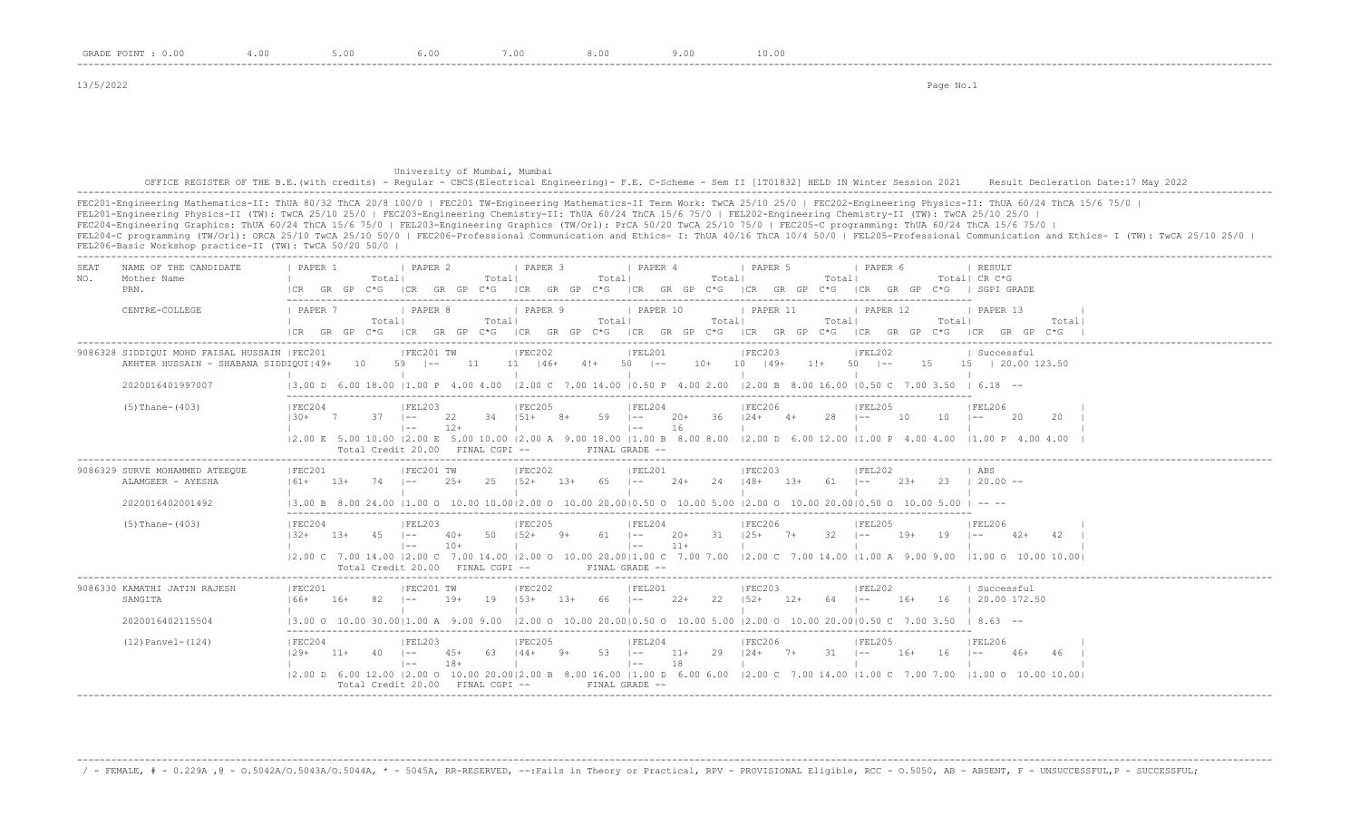13/5/2022 Page No.1

## University of Mumbai, Mumbai OFFICE REGISTER OF THE B.E.(with credits) - Regular - CBCS(Electrical Engineering)- F.E. C-Scheme - Sem II [1T01832] HELD IN Winter Session 2021 Result Decleration Date:17 May 2022 -------------------------------------------------------------------------------------------------------------------------------------------------------------------------------------------------------------------

FEC201-Engineering Mathematics-II: ThUA 80/32 ThCA 20/8 100/0 | FEC201 TW-Engineering Mathematics-II Term Work: TwCA 25/10 25/0 | FEC202-Engineering Physics-II: ThUA 60/24 ThCA 15/6 75/0 | FEL201-Engineering Physics-II (TW): TwCA 25/10 25/0 | FEC203-Engineering Chemistry-II: ThUA 60/24 ThCA 15/6 75/0 | FEL202-Engineering Chemistry-II (TW): TwCA 25/10 25/0 | FEC204-Engineering Graphics: ThUA 60/24 ThCA 15/6 75/0 | FEL203-Engineering Graphics (TW/Orl): PrCA 50/20 TwCA 25/10 75/0 | FEC205-C programming: ThUA 60/24 ThCA 15/6 75/0 | FEL204-C programming (TW/Orl): ORCA 25/10 TwCA 25/10 50/0 | FEC206-Professional Communication and Ethics- I: ThUA 40/16 ThCA 10/4 50/0 | FEL205-Professional Communication and Ethics- I (TW): TwCA 25/10 25/0 | FEL206-Basic Workshop practice-II (TW): TwCA 50/20 50/0 | -------------------------------------------------------------------------------------------------------------------------------------------------------------------------------------------------------------------

| SEAT<br>NO. | NAME OF THE CANDIDATE<br>Mother Name<br>PRN.                                           | PAPER 1                              |        | Totall       | I PAPER 2                        |                | Totall      | I PAPER 3                     |       | Totall      | PAPER 4                                         |                | Totall | 1 PAPER 5                                                                                                                 | Totall       | I PAPER 6                  |        |        | <b>I RESULT</b><br>Total! CR C*G<br>GR GP C*G  CR GR GP C*G  CR GR GP C*G  CR GR GP C*G  CR GR GP C*G  CR GP C*G  CR GP C*G   SGPI GRADE                                   |       |  |
|-------------|----------------------------------------------------------------------------------------|--------------------------------------|--------|--------------|----------------------------------|----------------|-------------|-------------------------------|-------|-------------|-------------------------------------------------|----------------|--------|---------------------------------------------------------------------------------------------------------------------------|--------------|----------------------------|--------|--------|----------------------------------------------------------------------------------------------------------------------------------------------------------------------------|-------|--|
|             | CENTRE-COLLEGE                                                                         | I PAPER 7                            |        | Totall       | PAPER 8                          |                | Totall      | PAPER 9                       |       | Totall      | PAPER 10                                        |                | Totall | PAPER 11                                                                                                                  | Totall       | PAPER 12                   |        | Totall | PAPER 13<br>ICR GR GP C*G ICR GR GP C*G ICR GR GP C*G ICR GR GP C*G ICR GR GP C*G ICR GR GP C*G ICR GP C*G ICR GR GP C*G                                                   | Total |  |
|             | 9086328 SIDDIOUI MOHD FAISAL HUSSAIN   FEC201<br>AKHTER HUSSAIN - SHABANA SIDDIQUI 49+ |                                      |        |              | IFEC201 TW<br>10 59 I--          |                |             | IFEC202                       |       |             | IFEL201<br>$11 \t 11 \t 146+ \t 4!+ \t 50 \t -$ |                |        | IFEC203<br>$10+ 10 + 10 + 149+$                                                                                           |              | IFEL202<br>$1! + 50$ $1--$ | 15     |        | Successful<br>15   20.00 123.50                                                                                                                                            |       |  |
|             | 2020016401997007                                                                       |                                      |        |              |                                  |                |             |                               |       |             |                                                 |                |        |                                                                                                                           |              |                            |        |        | 13.00 D 6.00 18.00 11.00 P 4.00 4.00 12.00 C 7.00 14.00 10.50 P 4.00 2.00 12.00 B 8.00 16.00 10.50 C 7.00 3.50 I 6.18 --                                                   |       |  |
|             | $(5)$ Thane- $(403)$                                                                   | IFEC204<br>$130+$                    | 7      | $37 - 1 = -$ | FEL203<br>$1 - -$                | 22<br>$12+$    | $34$ $151+$ | IFEC205                       | $8+$  | $59$ $1--$  | IFEL204<br>$\vert - -$                          | $20+$<br>16    |        | IFEC206<br>$36$ $124+$ $4+$                                                                                               | $28 - 1 - -$ | IFEL205                    | 10     | 10     | IFEL206<br>-20<br>$1 - -$                                                                                                                                                  | 20    |  |
|             |                                                                                        |                                      |        |              | Total Credit 20.00 FINAL CGPI -- |                |             |                               |       |             | FINAL GRADE --                                  |                |        |                                                                                                                           |              |                            |        |        | 2.00 E 5.00 10.00  2.00 E 5.00 10.00  2.00 A 9.00 18.00  1.00 B 8.00 8.00  2.00 D 6.00 12.00  1.00 P 4.00 4.00  1.00 P 4.00 4.00                                           |       |  |
|             | 9086329 SURVE MOHAMMED ATEEQUE<br>ALAMGEER - AYESHA                                    | FEC201<br>$161+$                     | $1.3+$ | $74$ $1--$   | FEC201 TW                        | $2.5+$         |             | FEC202<br>25 $152+$ 13+       |       | $65 = 1 -$  | FEL201                                          | $24+$          |        | FEC203<br>24 148+ 13+                                                                                                     | 61 –         | FEL202                     | $2.3+$ |        | ABS<br>$23 \t120.00 -$                                                                                                                                                     |       |  |
|             | 2020016402001492                                                                       |                                      |        |              |                                  |                |             |                               |       |             |                                                 |                |        | 13.00 B 8.00 24.00 11.00 O 10.00 10.0012.00 O 10.00 20.0010.50 O 10.00 5.00 12.00 O 10.00 20.0010.50 O 10.00 5.00 I -- -- |              |                            |        |        |                                                                                                                                                                            |       |  |
|             | $(5)$ Thane- $(403)$                                                                   | IFEC204<br>$132+$                    | 13+    | $45 - 1 -$   | IFEL203<br>$1 - -$               | $40+$<br>$10+$ |             | IFEC205<br>$50 \t 152+ \t 9+$ |       | $61 - -$    | IFEL204<br>$\vert - - \vert$                    | $20+$<br>$11+$ |        | IFEC206<br>$31 \t125+7+32 \t1--$                                                                                          |              | IFEL205                    | $19+$  | 19     | <b>IFEL206</b><br>$\sim$ $-$<br>42+<br>12.00 C 7.00 14.00 12.00 C 7.00 14.00 12.00 O 10.00 20.0011.00 C 7.00 7.00 12.00 C 7.00 14.00 11.00 A 9.00 9.00 11.00 O 10.00 10.00 | 42    |  |
|             |                                                                                        |                                      |        |              | Total Credit 20.00 FINAL CGPI -- |                |             |                               |       |             | FINAL GRADE --                                  |                |        |                                                                                                                           |              |                            |        |        |                                                                                                                                                                            |       |  |
|             | 9086330 KAMATHI JATIN RAJESH<br>SANGITA                                                | FEC201<br>$166+$                     | $16+$  | 82.          | FEC201 TW<br>$1 - -$             | $19+$          | 19          | FEC202<br>$153+$              | $13+$ | $66$ $ -$   | FEL201                                          | $22+$          |        | FEC203<br>22 $152+$ 12+                                                                                                   | $64$ $ -$    | FEL202                     | $16+$  |        | Successful<br>16   20.00 172.50                                                                                                                                            |       |  |
|             | 2020016402115504                                                                       | 13.00 O 10.00 30.0011.00 A 9.00 9.00 |        |              |                                  |                |             |                               |       |             |                                                 |                |        |                                                                                                                           |              |                            |        |        | $12.00$ O $10.00$ 20.0010.50 O $10.00$ 5.00 12.00 O $10.00$ 20.0010.50 C 7.00 3.50 1 8.63 --                                                                               |       |  |
|             | $(12)$ Panvel- $(124)$                                                                 | IFEC204<br>$129+$                    | $11+$  | $40$ $1 - -$ | IFEL203<br>$1 - -$               | $45+$<br>$18+$ | 63   44+    | IFEC205                       | $9+$  | $53 \t - -$ | IFEL204<br>$\vert - - \vert$                    | 11+<br>18      |        | IFEC206<br>$29$ $124+$ $7+$                                                                                               | $31 - 1 -$   | IFEL205                    | $16+$  | 16     | IFEL206<br>$46+$<br>$1 - -$                                                                                                                                                |       |  |
|             |                                                                                        |                                      |        |              | Total Credit 20.00 FINAL CGPI -- |                |             |                               |       |             | FINAL GRADE --                                  |                |        |                                                                                                                           |              |                            |        |        | 12.00 D 6.00 12.00 12.00 O 10.00 20.0012.00 B 8.00 16.00 11.00 D 6.00 6.00 12.00 C 7.00 14.00 11.00 C 7.00 7.00 11.00 O 10.00 10.00                                        |       |  |

-------------------------------------------------------------------------------------------------------------------------------------------------------------------------------------------------------------------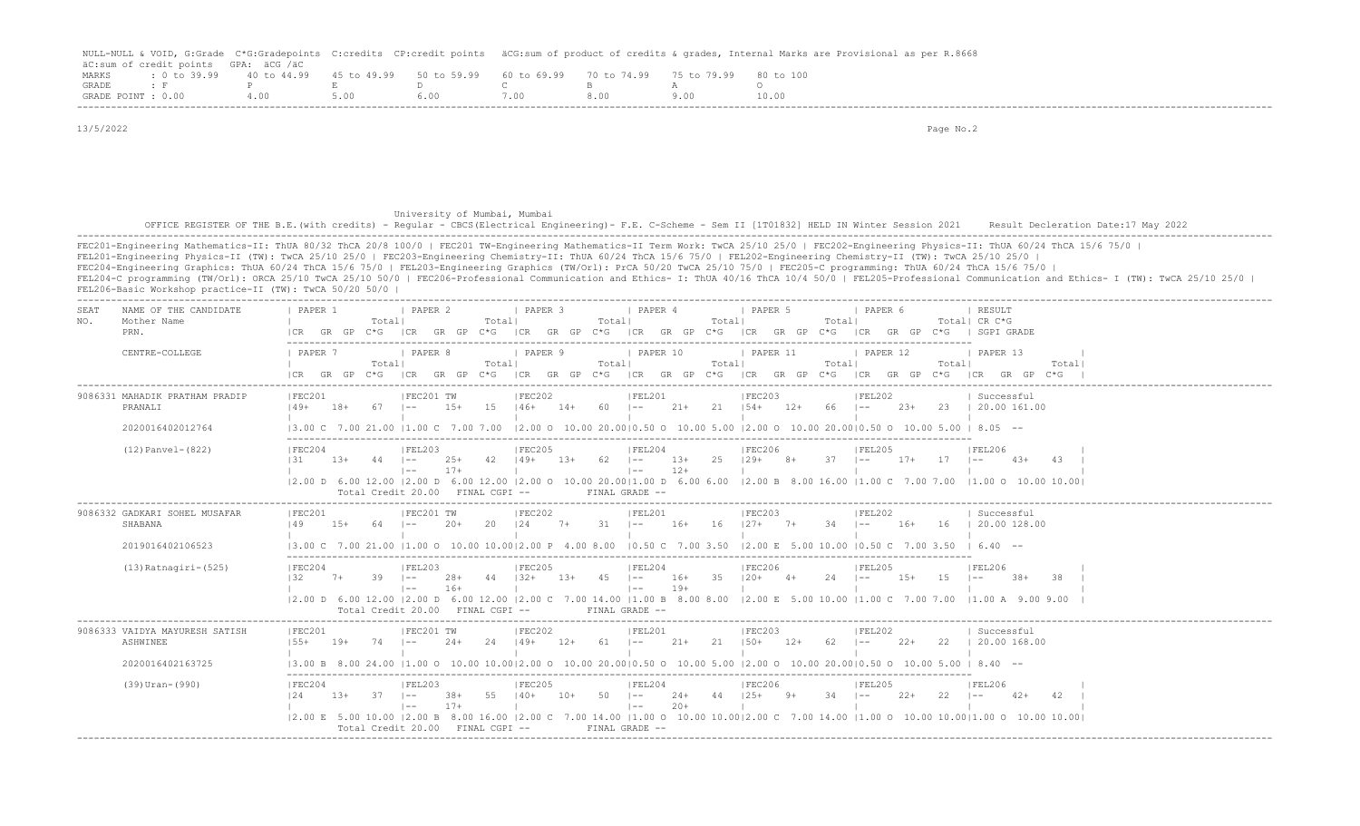|                    |                                      |       |      |                                                                       |      |      | NULL-NULL & VOID, G:Grade C*G:Gradepoints C:credits CP:credit points äCG:sum of product of credits & grades, Internal Marks are Provisional as per R.8668 |
|--------------------|--------------------------------------|-------|------|-----------------------------------------------------------------------|------|------|-----------------------------------------------------------------------------------------------------------------------------------------------------------|
|                    | äC:sum of credit points GPA: äCG /äC |       |      |                                                                       |      |      |                                                                                                                                                           |
| MARKS              | $: 0 \text{ to } 39.99$ 40 to 44.99  |       |      | 45 to 49.99 50 to 59.99 60 to 69.99 70 to 74.99 75 to 79.99 80 to 100 |      |      |                                                                                                                                                           |
| GRADE              |                                      |       |      |                                                                       |      |      |                                                                                                                                                           |
| GRADE POINT : 0.00 |                                      | 4 0 0 | 5.00 | 600.                                                                  | 7 NO | 8.00 | 10.00                                                                                                                                                     |
|                    |                                      |       |      |                                                                       |      |      |                                                                                                                                                           |

| 13/5/2022   |                                                         | Page No.2                                                                                                                                                                                                                                                                                                                                                                                                                                                                                                                                                                                                                                                                                                                                                                     |
|-------------|---------------------------------------------------------|-------------------------------------------------------------------------------------------------------------------------------------------------------------------------------------------------------------------------------------------------------------------------------------------------------------------------------------------------------------------------------------------------------------------------------------------------------------------------------------------------------------------------------------------------------------------------------------------------------------------------------------------------------------------------------------------------------------------------------------------------------------------------------|
|             |                                                         |                                                                                                                                                                                                                                                                                                                                                                                                                                                                                                                                                                                                                                                                                                                                                                               |
|             |                                                         |                                                                                                                                                                                                                                                                                                                                                                                                                                                                                                                                                                                                                                                                                                                                                                               |
|             |                                                         |                                                                                                                                                                                                                                                                                                                                                                                                                                                                                                                                                                                                                                                                                                                                                                               |
|             |                                                         | University of Mumbai, Mumbai                                                                                                                                                                                                                                                                                                                                                                                                                                                                                                                                                                                                                                                                                                                                                  |
|             |                                                         | OFFICE REGISTER OF THE B.E. (with credits) - Regular - CBCS (Electrical Engineering) - F.E. C-Scheme - Sem II [1T01832] HELD IN Winter Session 2021<br>Result Decleration Date: 17 May 2022                                                                                                                                                                                                                                                                                                                                                                                                                                                                                                                                                                                   |
|             | FEL206-Basic Workshop practice-II (TW): TwCA 50/20 50/0 | FEC201-Engineering Mathematics-II: ThUA 80/32 ThCA 20/8 100/0   FEC201 TW-Engineering Mathematics-II Term Work: TwCA 25/10 25/0   FEC202-Engineering Physics-II: ThUA 60/24 ThCA 15/6 75/0  <br>FEL201-Engineering Physics-II (TW): TwCA 25/10 25/0   FEC203-Engineering Chemistry-II: ThUA 60/24 ThCA 15/6 75/0   FEL202-Engineering Chemistry-II (TW): TwCA 25/10 25/0  <br>FEC204-Engineering Graphics: ThUA 60/24 ThCA 15/6 75/0   FEL203-Engineering Graphics (TW/Orl): PrCA 50/20 TwCA 25/10 75/0   FEC205-C programming: ThUA 60/24 ThCA 15/6 75/0  <br>FEL204-C programming (TW/Orl): ORCA 25/10 TwCA 25/10 50/0   FEC206-Professional Communication and Ethics- I: ThUA 40/16 ThCA 10/4 50/0   FEL205-Professional Communication and Ethics- I (TW): TwCA 25/10 25/0 |
| SEAT<br>NO. | NAME OF THE CANDIDATE<br>Mother Name                    | I PAPER 2<br>  PAPER 3<br>  PAPER 4<br><b>I</b> PAPER 5<br>PAPER 1<br>I PAPER 6<br>  RESULT<br>Total <br>Total <br>Total <br>Total  CR C*G<br>Total <br>Total                                                                                                                                                                                                                                                                                                                                                                                                                                                                                                                                                                                                                 |
|             | PRN.                                                    | ICR GR GP C*G ICR GR GP C*G ICR GR GP C*G ICR GR GP C*G ICR GR GP C*G ICR GR GP C*G I SGPI GRADE                                                                                                                                                                                                                                                                                                                                                                                                                                                                                                                                                                                                                                                                              |
|             | CENTRE-COLLEGE                                          | <b>I PAPER 9</b><br><b>FAPER 10</b><br><b>I PAPER 11</b><br>PAPER 12<br>1 PAPER 7<br><i>I</i> PAPER 8<br>1 PAPER 13<br>Total <br>Total<br>Totall<br>Totall<br>Total <br>Totall<br>Total                                                                                                                                                                                                                                                                                                                                                                                                                                                                                                                                                                                       |
|             |                                                         | CR GR GP C*G  CR GR GP C*G  CR GR GP C*G  CR GR GP C*G  CR GR GP C*G  CR GR GP C*G  CR GR GP C*G                                                                                                                                                                                                                                                                                                                                                                                                                                                                                                                                                                                                                                                                              |
|             | 9086331 MAHADIK PRATHAM PRADIP<br>PRANALI               | IFEC202<br> FEL201<br> FEC203<br>IFEC201<br>IFEL202<br>  Successful<br>15   46+ 14+ 60   -- 21+ 21   54+ 12+ 66   --<br>$149+$<br>67<br>15+<br>23+ 23   20.00 161.00<br>18+<br>$\mathbf{L}$                                                                                                                                                                                                                                                                                                                                                                                                                                                                                                                                                                                   |
|             | 2020016402012764                                        | $(3.00 \text{ C} \quad 7.00 \text{ } 21.00 \text{ }  1.00 \text{ C} \quad 7.00 \text{ } 7.00 \text{ }  2.00 \text{ O} \quad 10.00 \text{ } 20.00  0.50 \text{ O} \quad 10.00 \text{ } 5.00 \text{ }  2.00 \text{ O} \quad 10.00 \text{ } 20.00  0.50 \text{ O} \quad 10.00 \text{ } 5.00 \text{ }  8.05 \text{ } -5.00 \text{ }  0.00 \text{ } 5.00 \text{ }  0.00$                                                                                                                                                                                                                                                                                                                                                                                                           |
|             | $(12)$ Panvel- $(822)$                                  | FEC205<br> FEL204<br>IFEC206<br>IFEC204<br>IFEL206                                                                                                                                                                                                                                                                                                                                                                                                                                                                                                                                                                                                                                                                                                                            |
|             |                                                         | $25$ $129+$ $8+$<br>$\overline{131}$<br>$149+$ 13+ 62 1-- 13+<br>$1.3+$<br>$1 - -$<br>$25+$<br>$37$ $1- 17+$ $17$ $1--$<br>$4.3+$<br>$\mathbb{R}^n$ and $\mathbb{R}^n$ are $\mathbb{R}^n$ and $\mathbb{R}^n$ and $\mathbb{R}^n$ are $\mathbb{R}^n$<br>$12+$<br>$  - -$<br>$17+$<br>the contract of the contract of the contract of the contract of the contract of the contract of the                                                                                                                                                                                                                                                                                                                                                                                        |
|             |                                                         | $(2.00 \text{ D} \quad 6.00 \text{ } 12.00 \text{ }  2.00 \text{ D} \quad 6.00 \text{ } 12.00 \text{ }  2.00 \text{ O} \quad 10.00 \text{ } 20.00  1.00 \text{ D} \quad 6.00 \text{ } 6.00 \text{ }  2.00 \text{ B} \quad 8.00 \text{ } 16.00 \text{ }  1.00 \text{ C} \quad 7.00 \text{ } 7.00 \text{ }  1.00 \text{ O} \quad 10.00 \text{ } 10.00 \text{ } 10.00 \$<br>FINAL GRADE --<br>Total Credit 20.00 FINAL CGPI --                                                                                                                                                                                                                                                                                                                                                   |
|             | 9086332 GADKARI SOHEL MUSAFAR<br>SHABANA                | IFEC201<br>IFEC202<br>IFEL201<br>IFEC201 TW<br>IFEC203<br> FEL202<br>  Successful<br>$20 \t 124$<br>149<br>7+ 31  -- 16+ 16  27+ 7+<br>$34$ $ -$<br>16+ 16   20.00 128.00                                                                                                                                                                                                                                                                                                                                                                                                                                                                                                                                                                                                     |
|             | 2019016402106523                                        | 3.00 C 7.00 21.00  1.00 O 10.00 10.00 2.00 P 4.00 8.00  0.50 C 7.00 3.50  2.00 E 5.00 10.00  0.50 C 7.00 3.50   6.40 --                                                                                                                                                                                                                                                                                                                                                                                                                                                                                                                                                                                                                                                       |
|             | $(13)$ Ratnagiri- $(525)$                               | FEC205<br> FEL204<br> FEL203<br> FEC206<br> FEL205<br> FEC204<br>  FEL206                                                                                                                                                                                                                                                                                                                                                                                                                                                                                                                                                                                                                                                                                                     |
|             |                                                         | 44   32+ 13+ 45   -- 16+ 35   20+ 4+<br>132<br>$39 - 1 - -$<br>$24$ $1- 15+$<br>$28+$<br>$15$ $1-$<br>$7+$<br>and the contract of the property<br>$\vert - - \vert$<br>$19+$<br>$16+$<br>the control of the con-<br>the contract of the contract of the contract of the contract of the contract of<br><b>Contract Contract</b><br>$\mathbf{1}$                                                                                                                                                                                                                                                                                                                                                                                                                               |
|             |                                                         | 2.00 D 6.00 12.00  2.00 D 6.00 12.00  2.00 C 7.00 14.00  1.00 B 8.00 8.00  2.00 E 5.00 10.00  1.00 C 7.00 7.00  1.00 A 9.00 9.00<br>Total Credit 20.00 FINAL CGPI --<br>FINAL GRADE --                                                                                                                                                                                                                                                                                                                                                                                                                                                                                                                                                                                        |
|             | 9086333 VAIDYA MAYURESH SATISH                          | FEL201<br>IFEC201<br>IFEC201 TW<br> FEC202<br> FEC203<br><b>IFEL202</b><br>  Successful                                                                                                                                                                                                                                                                                                                                                                                                                                                                                                                                                                                                                                                                                       |
|             | ASHWINEE                                                | $155+$ 19+<br>24   49+ 12+ 61   -- 21+ 21   50+ 12+<br>$74$ $ --$ 24+<br>$62$ $\left[- - \right. 22 + \right. 22$ $\left[ 20.00 168.00 \right]$<br>the contract of the contract of the contract of the contract of the contract of the contract of the contract of<br>$\mathbf{1}$<br>the property of the<br>the control of the control of the                                                                                                                                                                                                                                                                                                                                                                                                                                |
|             | 2020016402163725                                        | $\begin{bmatrix} 3.00 & B & 0.00 & 24.00 & 11.00 & O & 10.00 & 10.00 & 20.00 & O & 10.00 & 50.0 & 10.00 & 5.00 & 10.00 & 20.00 & 0.00 & 0.00 & 0.00 & 0.00 & 0.00 & 0.00 & 0.00 & 0.00 & 0.00 & 0.00 & 0.00 & $                                                                                                                                                                                                                                                                                                                                                                                                                                                                                                                                                               |
|             | $(39)$ Uran- $(990)$                                    | FEL204<br> FEC206 <br>IFEC205<br> FEL205 <br>IFEC204<br>IFEL203<br>IFEL206<br>55   40+ 10+ 50   -- 24+ 44   25+ 9+<br>124<br>37<br>$\vert - -$<br>$34$ $ --22+$<br>$13+$<br>38+<br>$22 - 1 =$<br>$42+$<br>$20 +$<br>$17+$<br>$\vert - - \vert$<br>the contract of the contract of the contract of the contract of the contract of<br>$1 - -$<br>the contract of the contract of                                                                                                                                                                                                                                                                                                                                                                                               |
|             |                                                         | 2.00 E 5.00 10.00  2.00 B 8.00 16.00  2.00 C 7.00 14.00  1.00 O 10.00 10.00  2.00 C 7.00 14.00  1.00 O 10.00 10.00 10.00 10.00 10.00 10.00  <br>Total Credit 20.00 FINAL CGPI -- FINAL GRADE --                                                                                                                                                                                                                                                                                                                                                                                                                                                                                                                                                                               |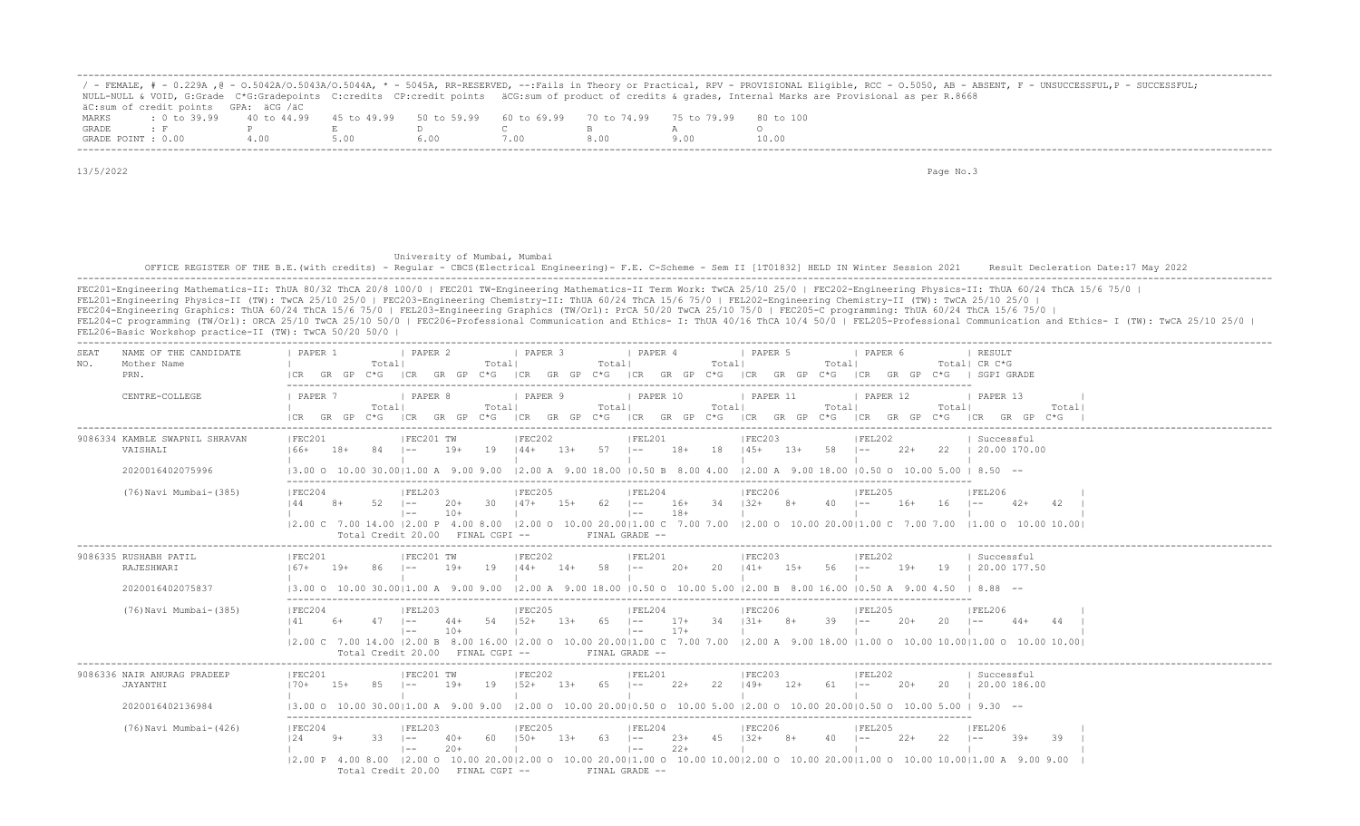|                    |                                                                                                |     |  |      |  | ' - FEMALE, # - 0.229A ,@ - 0.5042A/0.5043A/0.5044A, * - 5045A, RR-RESERVED, --:Fails in Theory or Practical, RPV - PROVISIONAL Eligible, RCC - 0.5050, AB - ABSENT, F - UNSUCCESSFUL,P - SUCCESSFUL; |
|--------------------|------------------------------------------------------------------------------------------------|-----|--|------|--|-------------------------------------------------------------------------------------------------------------------------------------------------------------------------------------------------------|
|                    |                                                                                                |     |  |      |  | NULL-NULL & VOID, G:Grade C*G:Gradepoints C:credits CP:credit points äCG:sum of product of credits & grades, Internal Marks are Provisional as per R.8668                                             |
|                    | äC:sum of credit points GPA: äCG /äC                                                           |     |  |      |  |                                                                                                                                                                                                       |
| MARKS              | t 0 to 39,99 40 to 44,99 45 to 49,99 50 to 59,99 60 to 69,99 70 to 74,99 75 to 79,99 80 to 100 |     |  |      |  |                                                                                                                                                                                                       |
| GRADE              |                                                                                                |     |  |      |  |                                                                                                                                                                                                       |
| GRADE POINT : 0.00 |                                                                                                | 400 |  | '.00 |  | 10.00                                                                                                                                                                                                 |

13/5/2022 Page No.3

## University of Mumbai, Mumbai OFFICE REGISTER OF THE B.E.(with credits) - Regular - CBCS(Electrical Engineering) - F.E. C-Scheme - Sem II [1T01832] HELD IN Winter Session 2021 Result Decleration Date:17 May 2022 -------------------------------------------------------------------------------------------------------------------------------------------------------------------------------------------------------------------

FEC201-Engineering Mathematics-II: ThUA 80/32 ThCA 20/8 100/0 | FEC201 TW-Engineering Mathematics-II Term Work: TwCA 25/10 25/0 | FEC202-Engineering Physics-II: ThUA 60/24 ThCA 15/6 75/0 | FEL201-Engineering Physics-II (TW): TwCA 25/10 25/0 | FEC203-Engineering Chemistry-II: ThUA 60/24 ThCA 15/6 75/0 | FEL202-Engineering Chemistry-II (TW): TwCA 25/10 25/0 | FEC204-Engineering Graphics: ThUA 60/24 ThCA 15/6 75/0 | FEL203-Engineering Graphics (TW/Orl): PrCA 50/20 TwCA 25/10 75/0 | FEC205-C programming: ThUA 60/24 ThCA 15/6 75/0 | FEL204-C programming (TW/Orl): ORCA 25/10 TwCA 25/10 50/0 | FEC206-Professional Communication and Ethics- I: ThUA 40/16 ThCA 10/4 50/0 | FEL205-Professional Communication and Ethics- I (TW): TwCA 25/10 25/0 | FEL206-Basic Workshop practice-II (TW): TwCA 50/20 50/0 |

| SEAT<br>NAME OF THE CANDIDATE<br>Mother Name<br>NO.<br>PRN.    | PAPER 1<br><b>PAPER 2</b><br>  PAPER 3<br>  PAPER 4<br>I PAPER 6<br>  PAPER 5<br>  RESULT<br>Total <br>Totall<br>Totall<br>Totall<br>Totall<br>Total  CR C*G<br>$C*G$ $ CR$ $GR$ $GP$ $C*G$<br>ICR GR GP C*G<br>ICR GR GP C*G ICR GR GP<br>GR GP C*G   SGPI GRADE<br>GR GP<br>$C * G$<br> CR                                                                                                                                                                                                                                                                                                                                                                |
|----------------------------------------------------------------|-------------------------------------------------------------------------------------------------------------------------------------------------------------------------------------------------------------------------------------------------------------------------------------------------------------------------------------------------------------------------------------------------------------------------------------------------------------------------------------------------------------------------------------------------------------------------------------------------------------------------------------------------------------|
| CENTRE-COLLEGE                                                 | <b>I PAPER 7</b><br><b>I PAPER 8</b><br>I PAPER 9<br>PAPER 10<br>  PAPER 11<br>I PAPER 12<br>1 PAPER 13<br>Totall<br>Totall<br>Totall<br>Totall<br>Totall<br>Total <br>Total<br>C*G ICR GR GP C*G ICR GR GP C*G ICR GR GP C*G ICR GR GP C*G ICR GP C*G ICR GP C*G ICR GR GP C*G<br>GR GP                                                                                                                                                                                                                                                                                                                                                                    |
| 9086334 KAMBLE SWAPNIL SHRAVAN<br>VAISHALI<br>2020016402075996 | FEC201<br> FEC202<br> FEC203<br>  Successful<br>FEC201 TW<br> FEL201<br> FEL202<br>19<br>$13+$<br>$57$ $1--$<br>$18+$<br>18<br>$13+$<br>58   --<br>$22+$<br>22 1 20.00 170.00<br>166+<br>18+<br>84<br>19+<br>$144+$<br>$145+$<br>$ -$<br>$ 2,00 \t{A} \t{9,00} \t{18,00} \t{0.50} \t{B} \t{8,00} \t{4,00}$<br>$\vert 2.00 \text{ A} \vert 9.00 \text{ 18.00 } \vert 0.50 \text{ O} 10.00 \text{ 5.00 } \vert 8.50 \vert -$<br>13.00 O 10.00 30.0011.00 A 9.00 9.00                                                                                                                                                                                          |
| (76) Navi Mumbai-(385)                                         | FEC204<br> FEL203<br> FEC205<br> FEL204<br> FEC206<br> FEL205<br> FEL206<br>$147+$<br>$34$ $132+$<br>144<br>$52 - 1 =$<br>30<br>$1.5+$<br>62.<br>$\vert - - \vert$<br>16+<br>$8+$<br>$40 - 1 -$<br>$16+$<br>16<br>$8+$<br>-20+<br>$\vert - - \vert$<br>$42+$<br>42<br>$10+$<br>$18 +$<br>$1 - -$<br>$\vert - - \vert$<br>12.00 C 7.00 14.00 12.00 P 4.00 8.00 12.00 O 10.00 20.0011.00 C 7.00 7.00 12.00 O 10.00 20.0011.00 C 7.00 7.00 11.00 O 10.00 10.001<br>Total Credit 20.00 FINAL CGPI --<br>FINAL GRADE --                                                                                                                                          |
| 9086335 RUSHABH PATIL<br>RAJESHWARI<br>2020016402075837        | FEC202<br>IFEC201<br>FEC201 TW<br> FEL201<br> FEC203<br> FEL202<br>Successful<br>$14+$ 58<br>86 I--<br>19<br>$144+$<br>$20+$<br>$20 \t141+$<br>$15+$<br>$56$ $1--$<br>$19+$<br>19   20.00 177.50<br>167+ 19+<br>19+<br>$1 - -$<br>$(3.00 \t{0} 10.00 \t{0} 30.0011.00 \t{A} 9.00 \t{9.00} 2.00 \t{A} 9.00 \t{18.00} 10.50 \t{0} 10.00 \t{5.00} 12.00 \t{B} 8.00 \t{16.00} 10.50 \t{A} 9.00 \t{4.50} 18.88 --$                                                                                                                                                                                                                                               |
| (76) Navi Mumbai-(385)                                         | FEC204<br> FEL203<br> FEC205<br> FEL204<br> FEC206<br> FEL205<br> FEL206<br>$1.52+$<br>65<br>34<br>$131+$<br>39<br>54<br>$1.3+$<br>$\vert - -$<br>$17+$<br>$8+$<br>$20+$<br>20<br>$1 - -$<br>$44+$<br>$\vert - -$<br>44<br>$44+$<br>$17+$<br>$10+$<br>$\vert - - \vert$<br>$\vert$ $-$<br>12.00 C 7.00 14.00 12.00 B 8.00 16.00 12.00 O 10.00 20.0011.00 C 7.00 7.00 12.00 A 9.00 18.00 11.00 O 10.00 10.0010.00 O 10.00 10.00 10.00<br>Total Credit 20.00 FINAL CGPI --<br>FINAL GRADE --                                                                                                                                                                  |
| 9086336 NAIR ANURAG PRADEEP<br>JAYANTHI                        | <b>FEC202</b><br> FEC201 TW<br> FEC203<br> FEC201<br> FEL201<br> FEL202<br>  Successful<br>$152+$<br>85<br>19<br>$13+$<br>$65$ $ -$<br>$22+$<br>22<br>$149+$<br>$12+$<br>$61 - -$<br>$20+$<br>20   20.00 186.00<br>$170+$<br>$15+$<br>$\vert - -$<br>19+                                                                                                                                                                                                                                                                                                                                                                                                    |
| 2020016402136984<br>(76) Navi Mumbai- (426)                    | $(3.00 \t{0} 10.00 \t{0} 30.00   1.00 \t{A} 9.00 \t{0} 9.00$ $(2.00 \t{0} 10.00 \t{2} 0.00   0.50 \t{0} 10.00 \t{5} 0.00   2.00 \t{0} 10.00 \t{2} 0.00   0.50 \t{0} 10.00 \t{5} 0.00   9.30$ --<br>IFEC205<br>IFEC204<br> FEL203<br>IFEL204<br>IFEC206<br>IFEL205<br>IFEL206<br>4.5<br>$1.50+$<br>$13+$<br>63<br>$23+$<br>$1.32+$<br>$8+$<br>$2.2+$<br>22<br>$39+$<br>39<br>12.4<br>33<br>$40+$<br>$\vert - - \vert$<br>$22+$<br>$20+$<br>$1 - -$<br>$\vert$ $-$<br> 2.00 P 4.00 8.00  2.00 O 10.00 20.00 2.00 O 10.00 20.00 1.00 O 10.00 10.00 2.00 O 10.00 20.00 1.00 O 10.00 0.00 1.00 A 9.00 9.00<br>Total Credit 20.00 FINAL CGPI --<br>FINAL GRADE -- |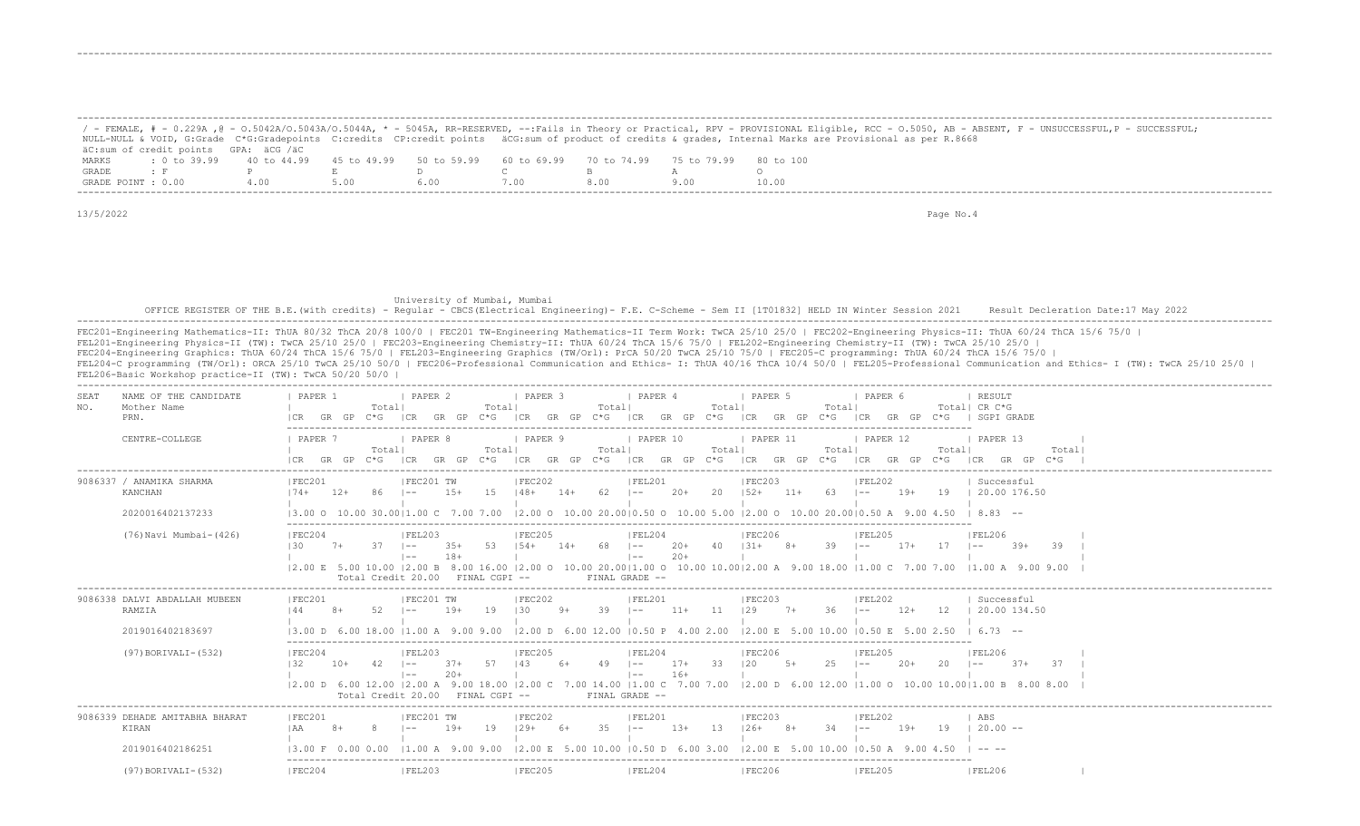|                    |                                                                                                              |      |      |      |      | - FEMALE, # - 0.229A , @ - 0.5042A/0.5043A/0.5044A, * - 5045A, RR-RESERVED, --:Fails in Theory or Practical, RPV - PROVISIONAL Eligible, RCC - 0.5050, AB - ABSENT, F - UNSUCCESSFUL, P - SUCCESSFUL; |
|--------------------|--------------------------------------------------------------------------------------------------------------|------|------|------|------|-------------------------------------------------------------------------------------------------------------------------------------------------------------------------------------------------------|
|                    |                                                                                                              |      |      |      |      | NULL-NULL & VOID, G:Grade C*G:Gradepoints C:credits CP:credit points äCG:sum of product of credits & grades, Internal Marks are Provisional as per R.8668                                             |
|                    | äC:sum of credit points GPA: äCG /äC                                                                         |      |      |      |      |                                                                                                                                                                                                       |
| MARKS              | t 0 to 39.99   40 to 44.99   45 to 49.99   50 to 59.99   60 to 69.99   70 to 74.99   75 to 79.99   80 to 100 |      |      |      |      |                                                                                                                                                                                                       |
| GRADE              |                                                                                                              |      |      |      |      |                                                                                                                                                                                                       |
| GRADE POINT : 0.00 |                                                                                                              | 4.00 | 5.00 | 600. | 8.00 | 10.00                                                                                                                                                                                                 |
|                    |                                                                                                              |      |      |      |      |                                                                                                                                                                                                       |

-------------------------------------------------------------------------------------------------------------------------------------------------------------------------------------------------------------------

13/5/2022 Page No.4

-------------------------------------------------------------------------------------------------------------------------------------------------------------------------------------------------------------------

## University of Mumbai, Mumbai OFFICE REGISTER OF THE B.E.(with credits) - Regular - CBCS(Electrical Engineering) - F.E. C-Scheme - Sem II [1T01832] HELD IN Winter Session 2021 Result Decleration Date:17 May 2022 -------------------------------------------------------------------------------------------------------------------------------------------------------------------------------------------------------------------

| FEC201-Engineering Mathematics-II: ThUA 80/32 ThCA 20/8 100/0   FEC201 TW-Engineering Mathematics-II Term Work: TwCA 25/10 25/0   FEC202-Engineering Physics-II: ThUA 60/24 ThCA 15/6 75/0                     |
|----------------------------------------------------------------------------------------------------------------------------------------------------------------------------------------------------------------|
| FEL201-Engineering Physics-II (TW): TwCA 25/10 25/0   FEC203-Engineering Chemistry-II: ThUA 60/24 ThCA 15/6 75/0   FEL202-Engineering Chemistry-II (TW): TwCA 25/10 25/0                                       |
| FEC204-Engineering Graphics: ThUA 60/24 ThCA 15/6 75/0   FEL203-Engineering Graphics (TW/Orl): PrCA 50/20 TwCA 25/10 75/0   FEC205-C programming: ThUA 60/24 ThCA 15/6 75/0                                    |
| FEL204-C programming (TW/Orl): ORCA 25/10 TwCA 25/10 50/0   FEC206-Professional Communication and Ethics- I: ThUA 40/16 ThCA 10/4 50/0   FEL205-Professional Communication and Ethics- I (TW): TwCA 25/10 25/0 |
| FEL206-Basic Workshop practice-II (TW): TwCA 50/20 50/0                                                                                                                                                        |

| NAME OF THE CANDIDATE<br>SEAT<br>NO.<br>Mother Name<br>PRN. | PAPER 1<br>Totall<br>GR<br>C*G.<br>GP                       | PAPER 2<br>Total <br>GP<br>LCR.<br>GR.<br>`* ና              | PAPER 3<br>Total<br>GR<br>GP<br>$C * G$<br>I CR<br>I CR                        | PAPER 4<br>PAPER 5<br>Total<br>Total<br>GR.<br>GP<br>C*G-<br>GR.<br>GP               | PAPER 6<br>RESULT<br>Total  CR C*G<br>SGPT GRADE<br>GR.                |               |
|-------------------------------------------------------------|-------------------------------------------------------------|-------------------------------------------------------------|--------------------------------------------------------------------------------|--------------------------------------------------------------------------------------|------------------------------------------------------------------------|---------------|
| CENTRE-COLLEGE                                              | PAPER '<br>Totall<br>GR<br>G <sub>P</sub><br>∩*G            | PAPER 8<br>Totall<br>GP<br>GR.<br>ገ* ና                      | PAPER 9<br>Totall<br>I CR<br>GR.<br>GP.<br>C*G.<br>I CR                        | PAPER 10<br>  PAPER 11<br>Total<br>Totall<br>GP<br>GR.<br>$C*G$<br>GR<br>GP<br>I CR. | PAPER 12<br>  PAPER 13<br>Totall<br>GR<br>GP<br>GR.<br>l CR.<br>GP.    | Totall<br>C*G |
| 9086337 / ANAMIKA SHARMA<br>KANCHAN                         | IFEC201<br>$174+$<br>$12+$                                  | IFEC201 TW<br>1.5                                           | IFEC202<br>IFEL201<br>-62<br>$148+$<br>$14+$<br>$- -$                          | IFEC203<br>$20+$<br>-20<br>$152+$<br>63                                              | IFEL202<br>Successful<br>19<br>20.00 176.50<br>19+<br>$- -$            |               |
| 2020016402137233                                            | $13.00 \Omega$                                              | 30.0011.00<br>'.00                                          | 10.00 20.0010.50 0<br>12.00 O                                                  | $12.00$ $\Omega$<br>10.00 5.00<br>10.00                                              | $8.83 - -$<br>20.0010.50 A                                             |               |
| (76) Navi Mumbai-(426)                                      | FEC204<br>$130 -$<br>37<br>$7+$                             | <b>FEL203</b><br>-53<br>$3.5+$<br>$1 - -$<br>$18+$<br>$- -$ | <b>FEC205</b><br><b>FEL204</b><br>-68<br>$14+$<br>$\sim$<br>$1.54+$<br>$1 - -$ | FEC206<br>39<br>$20+$<br>40<br>$1.31 +$<br>$20+$                                     | <b>FEL206</b><br>IFEL205<br>$17+$<br>17<br>$39+$<br>l ——<br>$\sim$ $-$ | 39            |
|                                                             | 12.00 E 5.00 10.00 12.00 B 8.00 16.00<br>Total Credit 20.00 | FINAL CGPT --                                               | $12.00 \Omega$<br>$FTNAI, GRADE - -$                                           | 10.00 20.0011.00 O 10.00 10.0012.00 A 9.00 18.00 11.00 C                             | 7.00 7.00<br>11.00 A 9.00 9.00                                         |               |
| 9086338 DALVI ABDALLAH MUBEEN<br><b>RAMZIA</b>              | IFEC201<br>52<br>144<br>$R+$                                | IFEC201 TW<br>19<br>$19+$<br>l ——                           | IFEC202<br>IFEL201<br>39.<br>130<br>$9+$<br>$- -$                              | IFEC203<br>11<br>$11+$<br>129<br>36.<br>$7+$                                         | Successful<br> FEL202<br>12.<br>20.00 134.50<br>$12+$<br>$- -$         |               |
| 2019016402183697                                            | 13.00 D                                                     | 11.00                                                       | 12.00 10.50 P<br>12.00 D                                                       | 4.00 2.00<br>$12.00 \t{F}$ 5.00 10.00                                                | $10.50$ F.<br>$6.73 - -$                                               |               |
| (97) BORIVALI-(532)                                         | FEC204<br>132<br>$10+$                                      | IFEL203<br>-57<br>$37+$<br>$1 - -$<br>$20+$<br>$\vert - -$  | <b>IFEC205</b><br><b>IFEL204</b><br>143<br>$1 - -$<br>$1 - -$                  | <b>IFEC206</b><br>$17+$<br>33<br>120<br>$16+$                                        | <b>FEL205</b><br><b>IFEL206</b><br>20                                  | 37            |
|                                                             | $12.00$ D 6.00 12.00 12.00 A<br>Total Credit 20.00          | 9.00 18.00<br>$FTNAI, CGPT --$                              | $12.00 \, \text{C}$<br>FINAL GRADE                                             | 7.00 14.00 I1.00 C 7.00 7.00 I2.00 D 6.00 12.00 I1.00 O 10.00 10.00I1.00 B 8.00      |                                                                        |               |
| 9086339 DEHADE AMITABHA BHARAT<br>KIRAN                     | FEC201<br>I AA                                              | IFEC201 TW<br>19<br>$19+$<br>$- -$                          | FEC202<br>IFEL201<br>35<br>$129+$<br>$6+$<br>$1 - -$                           | IFEC203<br>$1.3+$<br>13<br>$126+$<br>34                                              | FEL202<br>ABS<br>$19+$<br>19<br>$20.00 -$<br>$- -$                     |               |
|                                                             |                                                             |                                                             |                                                                                |                                                                                      |                                                                        |               |
| 2019016402186251                                            | $13.00$ F<br>- ററ                                           | 11.00 A                                                     | 10.00 10.50 D<br>12.00 E                                                       | 6.003.00<br>$12.00$ F.                                                               | 10.50 A<br>-900<br>$\cdots$                                            |               |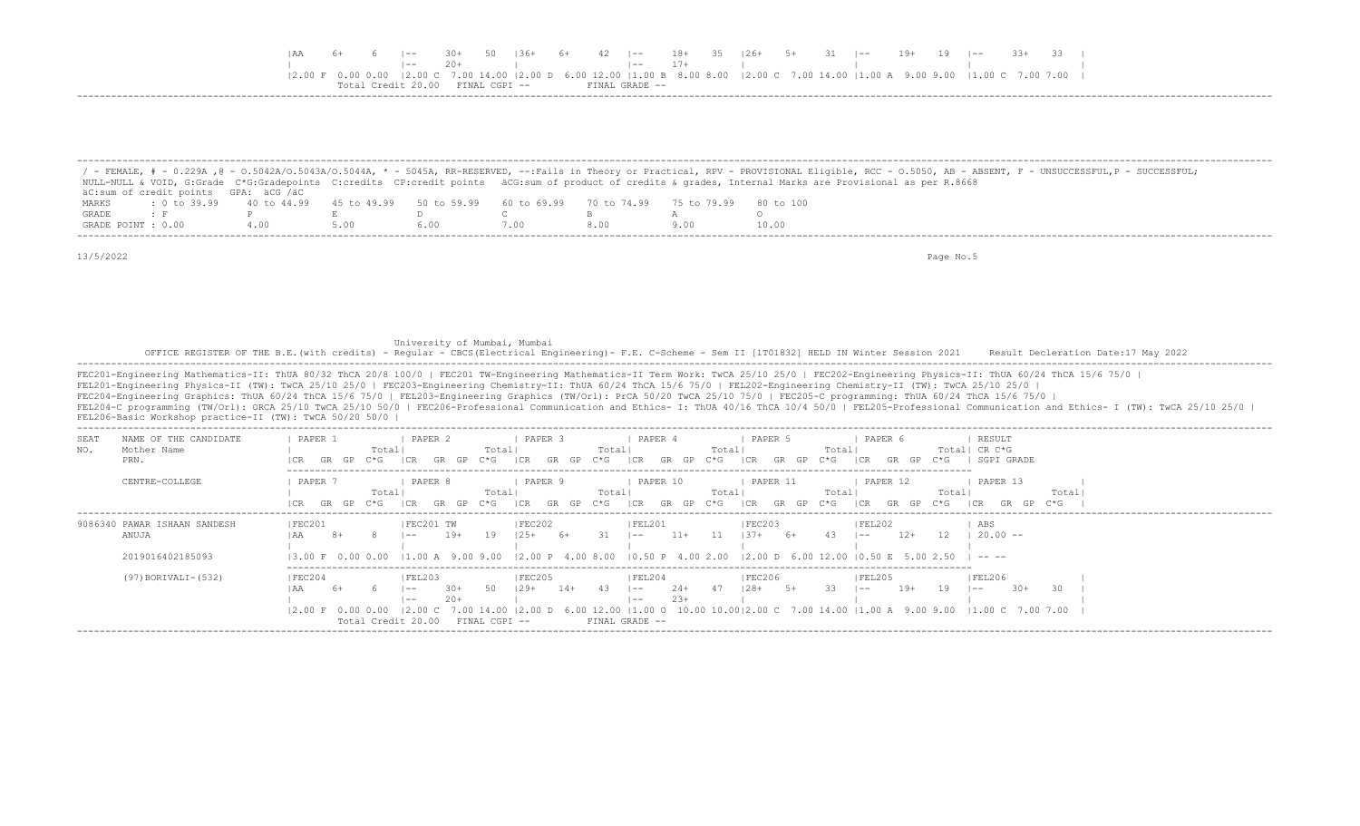|  |                                     |  |  |                |  |  | 6  -- 30+ 50  36+ 6+ 42  -- 18+ 35  26+ 5+ 31  -- 19+ 19  -- 33+ 33                                                             |  |  |  |
|--|-------------------------------------|--|--|----------------|--|--|---------------------------------------------------------------------------------------------------------------------------------|--|--|--|
|  |                                     |  |  | $1--$ 17+      |  |  |                                                                                                                                 |  |  |  |
|  |                                     |  |  |                |  |  | 2.00 F 0.00 0.00  2.00 C 7.00 14.00  2.00 D 6.00 12.00  1.00 B 8.00 8.00  2.00 C 7.00 14.00  1.00 A 9.00 9.00  1.00 C 7.00 7.00 |  |  |  |
|  | $Credit$ 20 00 $FTNAI$ . $CGPT$ $-$ |  |  | FINAL GRADE -- |  |  |                                                                                                                                 |  |  |  |
|  |                                     |  |  |                |  |  |                                                                                                                                 |  |  |  |

|                    |                                      |     |      |                                                                       |      |       | / - FEMALE, # - 0.229A ,@ - 0.5042A/0.5043A/0.5044A, * - 5045A, RR-RESERVED, --:Fails in Theory or Practical, RPV - PROVISIONAL Eligible, RCC - 0.5050, AB - ABSENT, F - UNSUCCESSFUL,P - SUCCESSFUL; |
|--------------------|--------------------------------------|-----|------|-----------------------------------------------------------------------|------|-------|-------------------------------------------------------------------------------------------------------------------------------------------------------------------------------------------------------|
|                    |                                      |     |      |                                                                       |      |       | NULL-NULL & VOID, G:Grade C*G:Gradepoints C:credits CP:credit points äCG:sum of product of credits & grades, Internal Marks are Provisional as per R.8668                                             |
|                    | äC:sum of credit points GPA: äCG /äC |     |      |                                                                       |      |       |                                                                                                                                                                                                       |
| MARKS              | : 0 to 39.99 40 to 44.99             |     |      | 45 to 49.99 50 to 59.99 60 to 69.99 70 to 74.99 75 to 79.99 80 to 100 |      |       |                                                                                                                                                                                                       |
| GRADE              |                                      |     |      |                                                                       |      |       |                                                                                                                                                                                                       |
| GRADE POINT : 0.00 |                                      | 400 | 5.00 | 6.00                                                                  | 7.00 | 8 N N | 10.00                                                                                                                                                                                                 |

13/5/2022 Page No.5

University of Mumbai, Mumbai<br>OFFICE REGISTER OF THE B.E.(with credits) - Regular - CBCS(Electrical Engineering)- F.E. C-Scheme - Sem II [1T01832] HELD IN Winter Session 2021 Result Decleration Date:17 May 2022<br>------------

 FEC201-Engineering Mathematics-II: ThUA 80/32 ThCA 20/8 100/0 | FEC201 TW-Engineering Mathematics-II Term Work: TwCA 25/10 25/0 | FEC202-Engineering Physics-II: ThUA 60/24 ThCA 15/6 75/0 | FEL201-Engineering Physics-II (TW): TwCA 25/10 25/0 | FEC203-Engineering Chemistry-II: ThUA 60/24 ThCA 15/6 75/0 | FEL202-Engineering Chemistry-II (TW): TwCA 25/10 25/0 | FEC204-Engineering Graphics: ThUA 60/24 ThCA 15/6 75/0 | FEL203-Engineering Graphics (TW/Orl): PrCA 50/20 TwCA 25/10 75/0 | FEC205-C programming: ThUA 60/24 ThCA 15/6 75/0 | FEL204-C programming (TW/Orl): ORCA 25/10 TwCA 25/10 50/0 | FEC206-Professional Communication and Ethics- I: ThUA 40/16 ThCA 10/4 50/0 | FEL205-Professional Communication and Ethics- I (TW): TwCA 25/10 25/0 | FEL206-Basic Workshop practice-II (TW): TwCA 50/20 50/0 |

| NAME OF THE CANDIDATE<br>SEAT<br>Mother Name<br>NO.<br>PRN. | PAPER 1<br>Totall                                      | PAPER 2<br>Total                                                                     | PAPER 3<br>Total                        | PAPER 4<br>Totall                                                                                                                                                                                   | PAPER 5<br>Totall                               | PAPER 6<br>C*G.                                    | RESULT<br>Total  CR C*G<br>SGPI GRADE   |
|-------------------------------------------------------------|--------------------------------------------------------|--------------------------------------------------------------------------------------|-----------------------------------------|-----------------------------------------------------------------------------------------------------------------------------------------------------------------------------------------------------|-------------------------------------------------|----------------------------------------------------|-----------------------------------------|
| CENTRE-COLLEGE                                              | PAPER 7<br>Totall<br>C*G<br>GR<br>GP                   | PAPER 8<br>Totall<br>C*G<br>GP.                                                      | PAPER 9<br>Total<br>:*G<br>GP           | PAPER 10<br>Totall<br>$C*G$                                                                                                                                                                         | PAPER 11<br>Totall<br>I CR<br>C*G<br>GR.<br>GP. | PAPER 12<br>Total <br>$C*G$<br>I CR.<br>GR.<br>GP. | PAPER 13<br>Total<br>$C*G$<br>ICR<br>GR |
| 9086340 PAWAR ISHAAN SANDESH<br>ANUJA<br>2019016402185093   | FEC201                                                 | FEC201 TW<br>$19+$<br>-19<br>$- -$                                                   | FEC202<br>125+<br>6+                    | IFEL201<br>$11+$<br>$1 - -$<br>13.00 F 0.00 0.00 11.00 A 9.00 9.00 12.00 P 4.00 8.00 10.50 P 4.00 2.00 12.00 D 6.00 12.00                                                                           | FEC203 <br>$137+$<br>6+                         | FEL202<br>$12+$<br>$- -$<br>$10.50$ F. 5.00        | ABS<br>$20.00 - -$                      |
| (97) BORIVALI-(532)                                         | FEC204<br>$12.00 \t F 0.00 0.00$<br>Total Credit 20.00 | FEL203<br>50.<br>$30+$<br>$- -$<br>$20+$<br>$- -$<br>$ 2.00\rangle$<br>FINAL CGPI -- | <b>FEC205</b><br>$129+$<br>$14+$<br>-43 | FEL204<br>$24+$<br>$1 - -$<br>-47<br>$23+$<br>$\overline{\phantom{a}}$<br>7.00 14.00  2.00 D 6.00 12.00  1.00 O 10.00 10.00 2.00 C 7.00 14.00  1.00 A 9.00 9.00  1.00 C 7.00 7.00<br>FINAL GRADE -- | FEC206<br>$128+$                                | FEL205<br>$19+$<br>19<br>$- -$                     | FEL206<br>30.<br>$30+$<br>$1 - -$       |